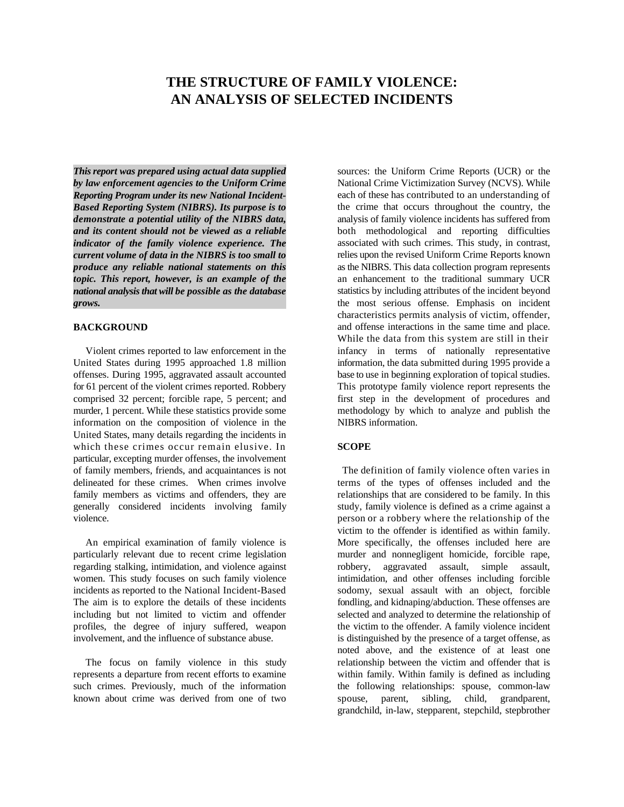# **THE STRUCTURE OF FAMILY VIOLENCE: AN ANALYSIS OF SELECTED INCIDENTS**

*This report was prepared using actual data supplied by law enforcement agencies to the Uniform Crime Reporting Program under its new National Incident-Based Reporting System (NIBRS). Its purpose is to demonstrate a potential utility of the NIBRS data, and its content should not be viewed as a reliable indicator of the family violence experience. The current volume of data in the NIBRS is too small to produce any reliable national statements on this topic. This report, however, is an example of the national analysis that will be possible as the database grows.*

## **BACKGROUND**

United States during 1995 approached 1.8 million information, the data submitted during 1995 provide a offenses. During 1995, aggravated assault accounted base to use in beginning exploration of topical studies.<br>
for 61 percent of the violent crimes reported. Robbery This prototype family violence report represents the comprised 32 percent; forcible rape, 5 percent; and murder, 1 percent. While these statistics provide some methodology by which to analyze and publish the information on the composition of violence in the NIBRS information. United States, many details regarding the incidents in which these crimes occur remain elusive. In particular, excepting murder offenses, the involvement of family members, friends, and acquaintances is not<br>delineated for these crimes. When crimes involve<br>terms of the types of offenses included and the family members as victims and offenders, they are relationships that are considered to be family. In this generally considered incidents involving family study, family violence is defined as a crime against a violence. person or a robbery where the relationship of the

particularly relevant due to recent crime legislation murder and nonnegligent homicide, forcible rape, regarding stalking, intimidation, and violence against robbery, aggravated assault, simple assault, women. This study focuses on such family violence intimidation, and other offenses including forcible incidents as reported to the National Incident-Based sodomy, sexual assault with an object, forcible The aim is to explore the details of these incidents fondling, and kidnaping/abduction. These offenses are including but not limited to victim and offender selected and analyzed to determine the relationship of profiles, the degree of injury suffered, weapon the victim to the offender. A family violence incident involvement, and the influence of substance abuse. is distinguished by the presence of a target offense, as

represents a departure from recent efforts to examine within family. Within family is defined as including such crimes. Previously, much of the information the following relationships: spouse, common-law known about crime was derived from one of two spouse, parent, sibling, child, grandparent,

Violent crimes reported to law enforcement in the infancy in terms of nationally representative This prototype family violence report represents the first step in the development of procedures and sources: the Uniform Crime Reports (UCR) or the National Crime Victimization Survey (NCVS). While each of these has contributed to an understanding of the crime that occurs throughout the country, the analysis of family violence incidents has suffered from both methodological and reporting difficulties associated with such crimes. This study, in contrast, relies upon the revised Uniform Crime Reports known as the NIBRS. This data collection program represents an enhancement to the traditional summary UCR statistics by including attributes of the incident beyond the most serious offense. Emphasis on incident characteristics permits analysis of victim, offender, and offense interactions in the same time and place. While the data from this system are still in their

#### **SCOPE**

terms of the types of offenses included and the An empirical examination of family violence is More specifically, the offenses included here are sodomy, sexual assault with an object, forcible The focus on family violence in this study relationship between the victim and offender that is victim to the offender is identified as within family. noted above, and the existence of at least one grandchild, in-law, stepparent, stepchild, stepbrother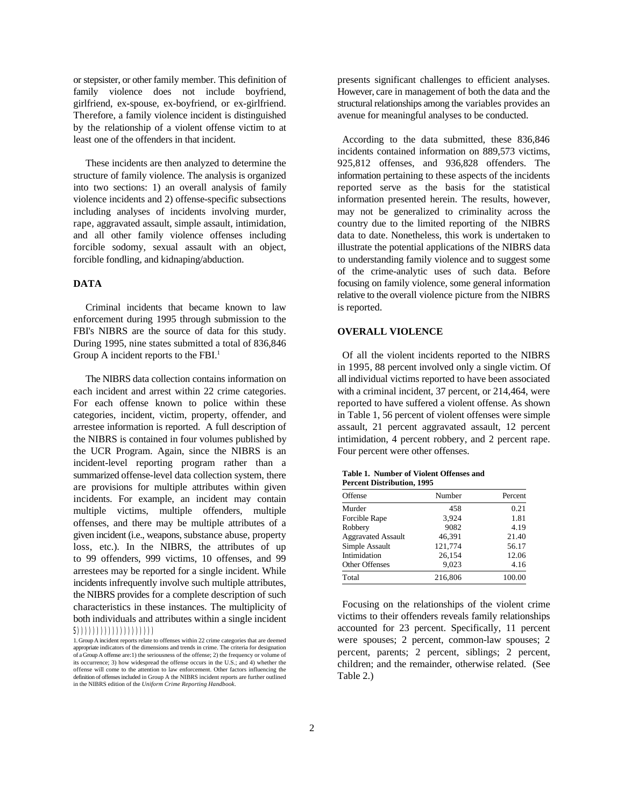family violence does not include boyfriend. However, care in management of both the data and the girlfriend, ex-spouse, ex-boyfriend, or ex-girlfriend. structural relationships among the variables provides an Therefore, a family violence incident is distinguished avenue for meaningful analyses to be conducted. by the relationship of a violent offense victim to at least one of the offenders in that incident. According to the data submitted, these 836,846

structure of family violence. The analysis is organized information pertaining to these aspects of the incidents into two sections: 1) an overall analysis of family reported serve as the basis for the statistical violence incidents and 2) offense-specific subsections information presented herein. The results, however, including analyses of incidents involving murder, may not be generalized to criminality across the rape, aggravated assault, simple assault, intimidation, country due to the limited reporting of the NIBRS and all other family violence offenses including data to date. Nonetheless, this work is undertaken to forcible sodomy, sexual assault with an object, illustrate the potential applications of the NIBRS data forcible fondling, and kidnaping/abduction. to understanding family violence and to suggest some

## **DATA**

Criminal incidents that became known to law is reported. enforcement during 1995 through submission to the FBI's NIBRS are the source of data for this study. During 1995, nine states submitted a total of 836,846 Group A incident reports to the  $FBI<sup>1</sup>$ 

each incident and arrest within 22 crime categories. with a criminal incident, 37 percent, or 214,464, were For each offense known to police within these reported to have suffered a violent offense. As shown categories, incident, victim, property, offender, and in Table 1, 56 percent of violent offenses were simple arrestee information is reported. A full description of assault, 21 percent aggravated assault, 12 percent the NIBRS is contained in four volumes published by intimidation, 4 percent robbery, and 2 percent rape. the UCR Program. Again, since the NIBRS is an Four percent were other offenses. incident-level reporting program rather than a summarized offense-level data collection system, there are provisions for multiple attributes within given incidents. For example, an incident may contain multiple victims, multiple offenders, multiple offenses, and there may be multiple attributes of a given incident (i.e., weapons, substance abuse, property loss, etc.). In the NIBRS, the attributes of up to 99 offenders, 999 victims, 10 offenses, and 99 arrestees may be reported for a single incident. While incidents infrequently involve such multiple attributes, the NIBRS provides for a complete description of such characteristics in these instances. The multiplicity of both individuals and attributes within a single incident  $(S(1))\(1))\(1))\(1))\(1))$ 

or stepsister, or other family member. This definition of presents significant challenges to efficient analyses.

These incidents are then analyzed to determine the 925,812 offenses, and 936,828 offenders. The of the crime-analytic uses of such data. Before incidents contained information on 889,573 victims, focusing on family violence, some general information relative to the overall violence picture from the NIBRS

# **OVERALL VIOLENCE**

Of all the violent incidents reported to the NIBRS The NIBRS data collection contains information on all individual victims reported to have been associated in 1995, 88 percent involved only a single victim. Of

| Table 1. Number of Violent Offenses and |  |
|-----------------------------------------|--|
| <b>Percent Distribution, 1995</b>       |  |

| Offense                   | Number  | Percent |
|---------------------------|---------|---------|
| Murder                    | 458     | 0.21    |
| Forcible Rape             | 3.924   | 1.81    |
| Robbery                   | 9082    | 4.19    |
| <b>Aggravated Assault</b> | 46,391  | 21.40   |
| Simple Assault            | 121,774 | 56.17   |
| Intimidation              | 26,154  | 12.06   |
| <b>Other Offenses</b>     | 9.023   | 4.16    |
| Total                     | 216,806 | 100.00  |

Focusing on the relationships of the violent crime victims to their offenders reveals family relationships accounted for 23 percent. Specifically, 11 percent were spouses; 2 percent, common-law spouses; 2 percent, parents; 2 percent, siblings; 2 percent, children; and the remainder, otherwise related. (See Table 2.)

<sup>1.</sup> Group A incident reports relate to offenses within 22 crime categories that are deemed appropriate indicators of the dimensions and trends in crime. The criteria for designation of a Group A offense are:1) the seriousness of the offense; 2) the frequency or volume of its occurrence; 3) how widespread the offense occurs in the U.S.; and 4) whether the offense will come to the attention to law enforcement. Other factors influencing the definition of offenses included in Group A the NIBRS incident reports are further outlined in the NIBRS edition of the *Uniform Crime Reporting Handbook*.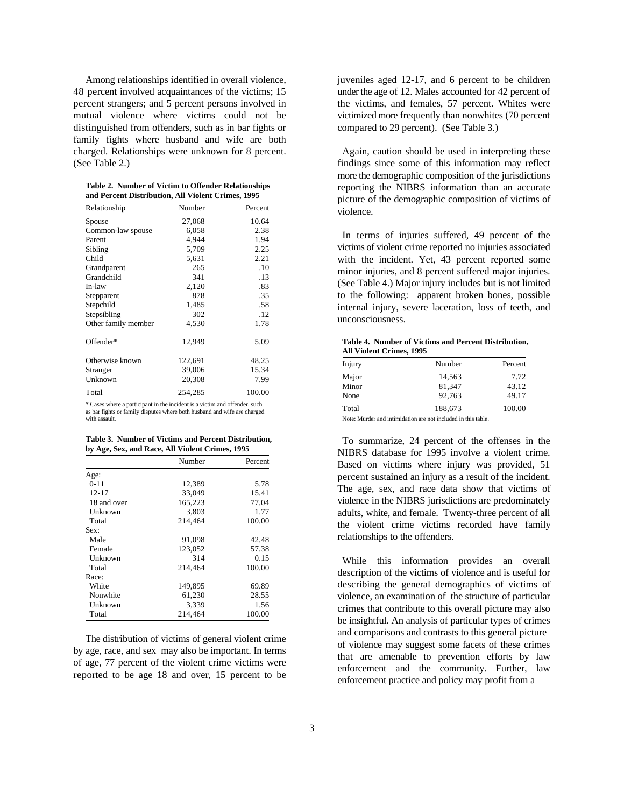distinguished from offenders, such as in bar fights or compared to 29 percent). (See Table 3.) family fights where husband and wife are both charged. Relationships were unknown for 8 percent. Again, caution should be used in interpreting these (See Table 2.) findings since some of this information may reflect

|  | Table 2. Number of Victim to Offender Relationships |  |
|--|-----------------------------------------------------|--|
|  | and Percent Distribution, All Violent Crimes, 1995  |  |

| Relationship        | Number  | Percent | $P_{\text{rel}}$<br>violence. |
|---------------------|---------|---------|-------------------------------|
| Spouse              | 27,068  | 10.64   |                               |
| Common-law spouse   | 6,058   | 2.38    |                               |
| Parent              | 4,944   | 1.94    | In term                       |
| Sibling             | 5,709   | 2.25    | victims of                    |
| Child               | 5,631   | 2.21    | with the                      |
| Grandparent         | 265     | .10     | minor in                      |
| Grandchild          | 341     | .13     |                               |
| In-law              | 2,120   | .83     | (See Tab                      |
| Stepparent          | 878     | .35     | to the fo                     |
| Stepchild           | 1,485   | .58     | internal                      |
| Stepsibling         | 302     | .12     |                               |
| Other family member | 4,530   | 1.78    | unconsci                      |
| Offender*           | 12,949  | 5.09    | Table 4.<br><b>All Viole</b>  |
| Otherwise known     | 122,691 | 48.25   | Injury                        |
| Stranger            | 39,006  | 15.34   |                               |
| Unknown             | 20,308  | 7.99    | Major                         |
| Total               | 254,285 | 100.00  | Minor<br>None                 |

\* Cases where a participant in the incident is a victim and offender, such as bar fights or family disputes where both husband and wife are charged with assault.

**Table 3. Number of Victims and Percent Distribution, by Age, Sex, and Race, All Violent Crimes, 1995**

|             | Number  | Percent |
|-------------|---------|---------|
| Age:        |         |         |
| $0 - 11$    | 12,389  | 5.78    |
| $12 - 17$   | 33,049  | 15.41   |
| 18 and over | 165,223 | 77.04   |
| Unknown     | 3.803   | 1.77    |
| Total       | 214,464 | 100.00  |
| Sex:        |         |         |
| Male        | 91,098  | 42.48   |
| Female      | 123,052 | 57.38   |
| Unknown     | 314     | 0.15    |
| Total       | 214,464 | 100.00  |
| Race:       |         |         |
| White       | 149,895 | 69.89   |
| Nonwhite    | 61,230  | 28.55   |
| Unknown     | 3,339   | 1.56    |
| Total       | 214,464 | 100.00  |

The distribution of victims of general violent crime by age, race, and sex may also be important. In terms of age, 77 percent of the violent crime victims were reported to be age 18 and over, 15 percent to be

Among relationships identified in overall violence, inveniles aged 12-17, and 6 percent to be children 48 percent involved acquaintances of the victims; 15 underthe age of 12. Males accounted for 42 percent of percent strangers; and 5 percent persons involved in the victims, and females, 57 percent. Whites were mutual violence where victims could not be victimized more frequently than nonwhites (70 percent

> more the demographic composition of the jurisdictions reporting the NIBRS information than an accurate picture of the demographic composition of victims of

> In terms of injuries suffered, 49 percent of the victims of violent crime reported no injuries associated with the incident. Yet, 43 percent reported some minor injuries, and 8 percent suffered major injuries. (See Table 4.) Major injury includes but is not limited to the following: apparent broken bones, possible internal injury, severe laceration, loss of teeth, and unconsciousness.

| Table 4. Number of Victims and Percent Distribution, |  |
|------------------------------------------------------|--|
| <b>All Violent Crimes, 1995</b>                      |  |

| Injury | Number                                                       | Percent |
|--------|--------------------------------------------------------------|---------|
| Major  | 14,563                                                       | 7.72    |
| Minor  | 81.347                                                       | 43.12   |
| None   | 92.763                                                       | 49.17   |
| Total  | 188.673                                                      | 100.00  |
|        | Note: Murder and intimidation are not included in this table |         |

Note: Murder and intimidation are not included in this table.

To summarize, 24 percent of the offenses in the NIBRS database for 1995 involve a violent crime. Based on victims where injury was provided, 51 percent sustained an injury as a result of the incident. The age, sex, and race data show that victims of violence in the NIBRS jurisdictions are predominately adults, white, and female. Twenty-three percent of all the violent crime victims recorded have family relationships to the offenders.

While this information provides an overall description of the victims of violence and is useful for describing the general demographics of victims of violence, an examination of the structure of particular crimes that contribute to this overall picture may also be insightful. An analysis of particular types of crimes and comparisons and contrasts to this general picture of violence may suggest some facets of these crimes that are amenable to prevention efforts by law enforcement and the community. Further, law enforcement practice and policy may profit from a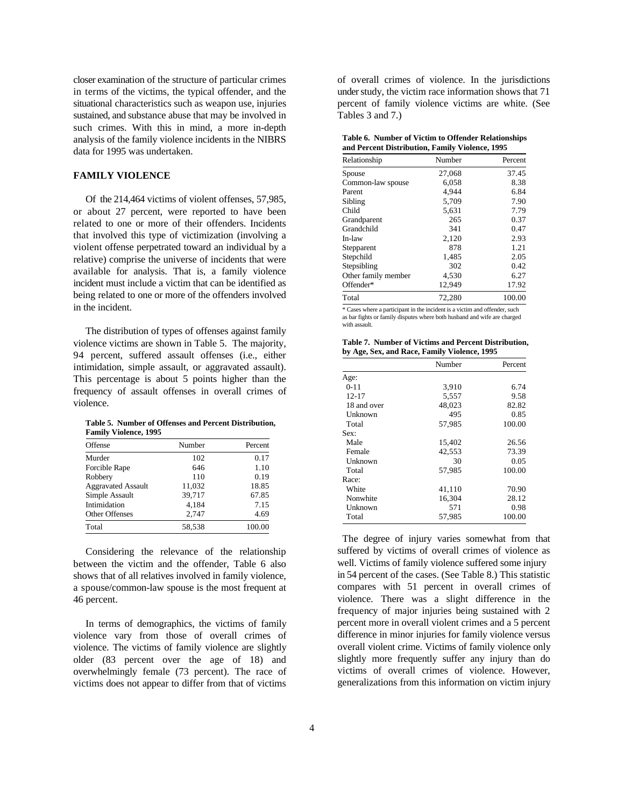sustained, and substance abuse that may be involved in Tables 3 and 7.) such crimes. With this in mind, a more in-depth analysis of the family violence incidents in the NIBRS data for 1995 was undertaken.

## **FAMILY VIOLENCE**

Of the 214,464 victims of violent offenses, 57,985, or about 27 percent, were reported to have been related to one or more of their offenders. Incidents that involved this type of victimization (involving a violent offense perpetrated toward an individual by a relative) comprise the universe of incidents that were available for analysis. That is, a family violence incident must include a victim that can be identified as being related to one or more of the offenders involved in the incident.

The distribution of types of offenses against family violence victims are shown in Table 5. The majority, 94 percent, suffered assault offenses (i.e., either intimidation, simple assault, or aggravated assault). This percentage is about 5 points higher than the frequency of assault offenses in overall crimes of violence.

**Table 5. Number of Offenses and Percent Distribution, Family Violence, 1995**

| Offense                   | Number | Percent |
|---------------------------|--------|---------|
| Murder                    | 102    | 0.17    |
| <b>Forcible Rape</b>      | 646    | 1.10    |
| Robbery                   | 110    | 0.19    |
| <b>Aggravated Assault</b> | 11,032 | 18.85   |
| Simple Assault            | 39,717 | 67.85   |
| Intimidation              | 4.184  | 7.15    |
| <b>Other Offenses</b>     | 2,747  | 4.69    |
| Total                     | 58.538 | 100.00  |

Considering the relevance of the relationship between the victim and the offender, Table 6 also shows that of all relatives involved in family violence, a spouse/common-law spouse is the most frequent at 46 percent.

In terms of demographics, the victims of family violence vary from those of overall crimes of violence. The victims of family violence are slightly older (83 percent over the age of 18) and overwhelmingly female (73 percent). The race of victims does not appear to differ from that of victims

closer examination of the structure of particular crimes of overall crimes of violence. In the jurisdictions in terms of the victims, the typical offender, and the understudy, the victim race information shows that 71 situational characteristics such as weapon use, injuries percent of family violence victims are white. (See

| Table 6. Number of Victim to Offender Relationships |  |
|-----------------------------------------------------|--|
| and Percent Distribution, Family Violence, 1995     |  |

| Relationship        | Number | Percent |
|---------------------|--------|---------|
| Spouse              | 27,068 | 37.45   |
| Common-law spouse   | 6,058  | 8.38    |
| Parent              | 4,944  | 6.84    |
| Sibling             | 5,709  | 7.90    |
| Child               | 5,631  | 7.79    |
| Grandparent         | 265    | 0.37    |
| Grandchild          | 341    | 0.47    |
| In-law              | 2,120  | 2.93    |
| Stepparent          | 878    | 1.21    |
| Stepchild           | 1,485  | 2.05    |
| Stepsibling         | 302    | 0.42    |
| Other family member | 4,530  | 6.27    |
| Offender*           | 12,949 | 17.92   |
| Total               | 72,280 | 100.00  |

\* Cases where a participant in the incident is a victim and offender, such as bar fights or family disputes where both husband and wife are charged with assault.

| Table 7. Number of Victims and Percent Distribution, |  |
|------------------------------------------------------|--|
| by Age, Sex, and Race, Family Violence, 1995         |  |

|             | Number | Percent |
|-------------|--------|---------|
| Age:        |        |         |
| $0 - 11$    | 3,910  | 6.74    |
| $12 - 17$   | 5,557  | 9.58    |
| 18 and over | 48,023 | 82.82   |
| Unknown     | 495    | 0.85    |
| Total       | 57,985 | 100.00  |
| Sex:        |        |         |
| Male        | 15,402 | 26.56   |
| Female      | 42,553 | 73.39   |
| Unknown     | 30     | 0.05    |
| Total       | 57,985 | 100.00  |
| Race:       |        |         |
| White       | 41,110 | 70.90   |
| Nonwhite    | 16,304 | 28.12   |
| Unknown     | 571    | 0.98    |
| Total       | 57,985 | 100.00  |

The degree of injury varies somewhat from that suffered by victims of overall crimes of violence as well. Victims of family violence suffered some injury in 54 percent of the cases. (See Table 8.) This statistic compares with 51 percent in overall crimes of violence. There was a slight difference in the frequency of major injuries being sustained with 2 percent more in overall violent crimes and a 5 percent difference in minor injuries for family violence versus overall violent crime. Victims of family violence only slightly more frequently suffer any injury than do victims of overall crimes of violence. However, generalizations from this information on victim injury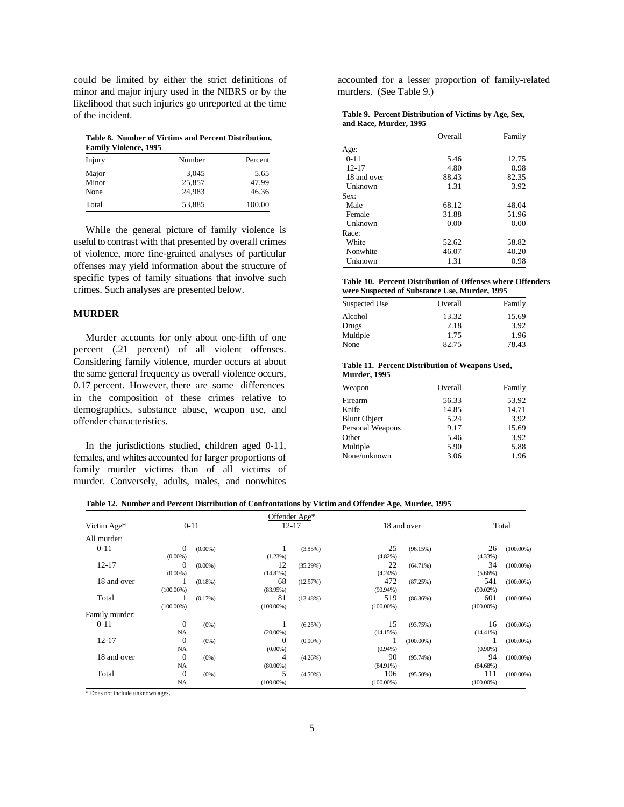could be limited by either the strict definitions of accounted for a lesser proportion of family-related minor and major injury used in the NIBRS or by the murders. (See Table 9.) minor and major injury used in the NIBRS or by the likelihood that such injuries go unreported at the time of the incident.

**Table 8. Number of Victims and Percent Distribution, Family Violence, 1995**

| Injury | Number | Percent |
|--------|--------|---------|
| Major  | 3,045  | 5.65    |
| Minor  | 25,857 | 47.99   |
| None   | 24.983 | 46.36   |
| Total  | 53,885 | 100.00  |

While the general picture of family violence is useful to contrast with that presented by overall crimes of violence, more fine-grained analyses of particular offenses may yield information about the structure of specific types of family situations that involve such crimes. Such analyses are presented below.

## **MURDER**

Murder accounts for only about one-fifth of one percent (.21 percent) of all violent offenses. Considering family violence, murder occurs at about the same general frequency as overall violence occurs, 0.17 percent. However, there are some differences in the composition of these crimes relative to demographics, substance abuse, weapon use, and offender characteristics.

In the jurisdictions studied, children aged 0-11, females, and whites accounted for larger proportions of family murder victims than of all victims of murder. Conversely, adults, males, and nonwhites

| Table 9. Percent Distribution of Victims by Age, Sex, |  |
|-------------------------------------------------------|--|
| and Race, Murder, 1995                                |  |

|             | Overall | Family |
|-------------|---------|--------|
| Age:        |         |        |
| $0 - 11$    | 5.46    | 12.75  |
| $12 - 17$   | 4.80    | 0.98   |
| 18 and over | 88.43   | 82.35  |
| Unknown     | 1.31    | 3.92   |
| Sex:        |         |        |
| Male        | 68.12   | 48.04  |
| Female      | 31.88   | 51.96  |
| Unknown     | 0.00    | 0.00   |
| Race:       |         |        |
| White       | 52.62   | 58.82  |
| Nonwhite    | 46.07   | 40.20  |
| Unknown     | 1.31    | 0.98   |

**Table 10. Percent Distribution of Offenses where Offenders were Suspected of Substance Use, Murder, 1995**

| Suspected Use | Overall | Family |
|---------------|---------|--------|
| Alcohol       | 13.32   | 15.69  |
| Drugs         | 2.18    | 3.92   |
| Multiple      | 1.75    | 1.96   |
| None          | 82.75   | 78.43  |

#### **Table 11. Percent Distribution of Weapons Used, Murder, 1995**

| Weapon              | Overall | Family |
|---------------------|---------|--------|
| Firearm             | 56.33   | 53.92  |
| Knife               | 14.85   | 14.71  |
| <b>Blunt Object</b> | 5.24    | 3.92   |
| Personal Weapons    | 9.17    | 15.69  |
| Other               | 5.46    | 3.92   |
| Multiple            | 5.90    | 5.88   |
| None/unknown        | 3.06    | 1.96   |

|  |  | Table 12. Number and Percent Distribution of Confrontations by Victim and Offender Age, Murder, 1995 |  |
|--|--|------------------------------------------------------------------------------------------------------|--|
|  |  |                                                                                                      |  |

|                |                  |            |              | Offender Age* |              |              |              |              |       |  |
|----------------|------------------|------------|--------------|---------------|--------------|--------------|--------------|--------------|-------|--|
| Victim Age*    |                  | $0 - 11$   |              | $12 - 17$     |              |              | 18 and over  |              | Total |  |
| All murder:    |                  |            |              |               |              |              |              |              |       |  |
| $0 - 11$       | $\Omega$         | $(0.00\%)$ |              | (3.85%)       | 25           | (96.15%)     | 26           | $(100.00\%)$ |       |  |
|                | $(0.00\%)$       |            | (1.23%)      |               | $(4.82\%)$   |              | (4.33%)      |              |       |  |
| $12 - 17$      | 0                | $(0.00\%)$ | 12           | (35.29%)      | 22           | $(64.71\%)$  | 34           | $(100.00\%)$ |       |  |
|                | $(0.00\%)$       |            | (14.81%)     |               | $(4.24\%)$   |              | $(5.66\%)$   |              |       |  |
| 18 and over    |                  | $(0.18\%)$ | 68           | (12.57%)      | 472          | (87.25%)     | 541          | $(100.00\%)$ |       |  |
|                | $(100.00\%)$     |            | $(83.95\%)$  |               | $(90.94\%)$  |              | $(90.02\%)$  |              |       |  |
| Total          |                  | (0.17%)    | 81           | $(13.48\%)$   | 519          | (86.36%)     | 601          | $(100.00\%)$ |       |  |
|                | $(100.00\%)$     |            | $(100.00\%)$ |               | $(100.00\%)$ |              | $(100.00\%)$ |              |       |  |
| Family murder: |                  |            |              |               |              |              |              |              |       |  |
| $0 - 11$       | $\mathbf{0}$     | $(0\%)$    |              | (6.25%)       | 15           | (93.75%)     | 16           | $(100.00\%)$ |       |  |
|                | NA               |            | $(20.00\%)$  |               | (14.15%)     |              | $(14.41\%)$  |              |       |  |
| $12 - 17$      | $\mathbf{0}$     | $(0\%)$    | $\Omega$     | $(0.00\%)$    |              | $(100.00\%)$ |              | $(100.00\%)$ |       |  |
|                | NA               |            | $(0.00\%)$   |               | $(0.94\%)$   |              | $(0.90\%)$   |              |       |  |
| 18 and over    | $\boldsymbol{0}$ | $(0\%)$    | 4            | (4.26%)       | 90           | $(95.74\%)$  | 94           | $(100.00\%)$ |       |  |
|                | NA               |            | $(80.00\%)$  |               | $(84.91\%)$  |              | (84.68%)     |              |       |  |
| Total          | $\mathbf{0}$     | $(0\%)$    | 5            | $(4.50\%)$    | 106          | $(95.50\%)$  | 111          | $(100.00\%)$ |       |  |
|                | NA               |            | $(100.00\%)$ |               | $(100.00\%)$ |              | $(100.00\%)$ |              |       |  |

\* Does not include unknown ages.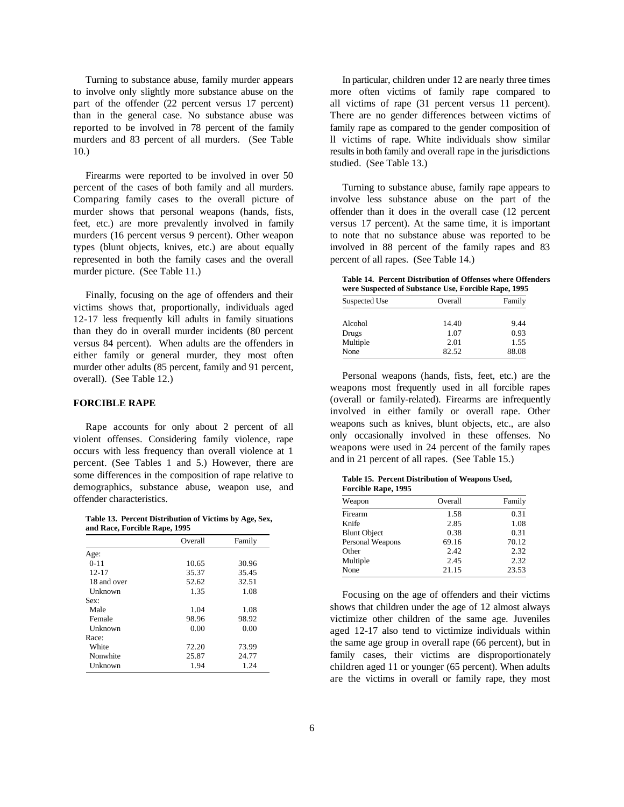to involve only slightly more substance abuse on the more often victims of family rape compared to part of the offender (22 percent versus 17 percent) all victims of rape (31 percent versus 11 percent). than in the general case. No substance abuse was There are no gender differences between victims of reported to be involved in 78 percent of the family family rape as compared to the gender composition of murders and 83 percent of all murders. (See Table ll victims of rape. White individuals show similar 10.) resultsin both family and overall rape in the jurisdictions

Firearms were reported to be involved in over 50 percent of the cases of both family and all murders. Turning to substance abuse, family rape appears to Comparing family cases to the overall picture of involve less substance abuse on the part of the murder shows that personal weapons (hands, fists, offender than it does in the overall case (12 percent feet, etc.) are more prevalently involved in family versus 17 percent). At the same time, it is important murders (16 percent versus 9 percent). Other weapon to note that no substance abuse was reported to be types (blunt objects, knives, etc.) are about equally involved in 88 percent of the family rapes and 83 represented in both the family cases and the overall percent of all rapes. (See Table 14.) murder picture. (See Table 11.)

Finally, focusing on the age of offenders and their victims shows that, proportionally, individuals aged 12-17 less frequently kill adults in family situations than they do in overall murder incidents (80 percent versus 84 percent). When adults are the offenders in either family or general murder, they most often murder other adults (85 percent, family and 91 percent, overall). (See Table 12.)

# **FORCIBLE RAPE**

Rape accounts for only about 2 percent of all violent offenses. Considering family violence, rape occurs with less frequency than overall violence at 1 percent. (See Tables 1 and 5.) However, there are some differences in the composition of rape relative to demographics, substance abuse, weapon use, and offender characteristics.

**Table 13. Percent Distribution of Victims by Age, Sex, and Race, Forcible Rape, 1995**

|             | Overall | Family |
|-------------|---------|--------|
| Age:        |         |        |
| $0 - 11$    | 10.65   | 30.96  |
| $12 - 17$   | 35.37   | 35.45  |
| 18 and over | 52.62   | 32.51  |
| Unknown     | 1.35    | 1.08   |
| Sex:        |         |        |
| Male        | 1.04    | 1.08   |
| Female      | 98.96   | 98.92  |
| Unknown     | 0.00    | 0.00   |
| Race:       |         |        |
| White       | 72.20   | 73.99  |
| Nonwhite    | 25.87   | 24.77  |
| Unknown     | 1.94    | 1.24   |

Turning to substance abuse, family murder appears In particular, children under 12 are nearly three times studied. (See Table 13.)

**Table 14. Percent Distribution of Offenses where Offenders were Suspected of Substance Use, Forcible Rape, 1995**

| Suspected Use | Overall | Family |
|---------------|---------|--------|
|               |         |        |
| Alcohol       | 14.40   | 9.44   |
| Drugs         | 1.07    | 0.93   |
| Multiple      | 2.01    | 1.55   |
| None          | 82.52   | 88.08  |

Personal weapons (hands, fists, feet, etc.) are the weapons most frequently used in all forcible rapes (overall or family-related). Firearms are infrequently involved in either family or overall rape. Other weapons such as knives, blunt objects, etc., are also only occasionally involved in these offenses. No weapons were used in 24 percent of the family rapes and in 21 percent of all rapes. (See Table 15.)

**Table 15. Percent Distribution of Weapons Used, Forcible Rape, 1995**

| Overall | Family |
|---------|--------|
| 1.58    | 0.31   |
| 2.85    | 1.08   |
| 0.38    | 0.31   |
| 69.16   | 70.12  |
| 2.42    | 2.32   |
| 2.45    | 2.32   |
| 21.15   | 23.53  |
|         |        |

Focusing on the age of offenders and their victims shows that children under the age of 12 almost always victimize other children of the same age. Juveniles aged 12-17 also tend to victimize individuals within the same age group in overall rape (66 percent), but in family cases, their victims are disproportionately children aged 11 or younger (65 percent). When adults are the victims in overall or family rape, they most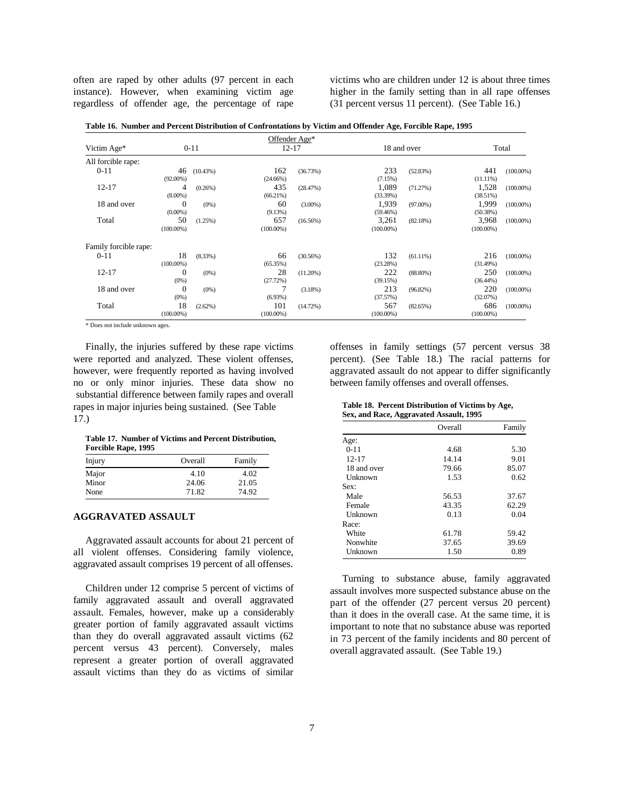often are raped by other adults (97 percent in each victims who are children under 12 is about three times instance). However, when examining victim age higher in the family setting than in all rape offenses regardless of offender age, the percentage of rape (31 percent versus 11 percent). (See Table 16.)

| Table 16. Number and Percent Distribution of Confrontations by Victim and Offender Age, Forcible Rape, 1995 |  |  |  |
|-------------------------------------------------------------------------------------------------------------|--|--|--|
|                                                                                                             |  |  |  |

|                       |                |            |              | Offender Age* |              |             |              |              |
|-----------------------|----------------|------------|--------------|---------------|--------------|-------------|--------------|--------------|
| Victim Age*           |                | $0 - 11$   |              | $12 - 17$     | 18 and over  |             | Total        |              |
| All forcible rape:    |                |            |              |               |              |             |              |              |
| $0 - 11$              | 46             | (10.43%)   | 162          | (36.73%)      | 233          | (52.83%)    | 441          | $(100.00\%)$ |
|                       | $(92.00\%)$    |            | $(24.66\%)$  |               | (7.15%)      |             | $(11.11\%)$  |              |
| $12 - 17$             | 4              | (0.26%)    | 435          | (28.47%)      | 1,089        | (71.27%)    | 1,528        | $(100.00\%)$ |
|                       | $(8.00\%)$     |            | (66.21%)     |               | (33.39%)     |             | (38.51%)     |              |
| 18 and over           | $\theta$       | $(0\%)$    | 60           | $(3.00\%)$    | 1,939        | $(97.00\%)$ | 1,999        | $(100.00\%)$ |
|                       | $(0.00\%)$     |            | (9.13%)      |               | $(59.46\%)$  |             | (50.38%)     |              |
| Total                 | 50             | (1.25%)    | 657          | (16.56%)      | 3,261        | (82.18%)    | 3,968        | $(100.00\%)$ |
|                       | $(100.00\%)$   |            | $(100.00\%)$ |               | $(100.00\%)$ |             | $(100.00\%)$ |              |
| Family forcible rape: |                |            |              |               |              |             |              |              |
| $0 - 11$              | 18             | $(8.33\%)$ | 66           | (30.56%)      | 132          | $(61.11\%)$ | 216          | $(100.00\%)$ |
|                       | $(100.00\%)$   |            | (65.35%)     |               | (23.28%)     |             | (31.49%)     |              |
| $12 - 17$             | $\overline{0}$ | $(0\%)$    | 28           | $(11.20\%)$   | 222          | $(88.80\%)$ | 250          | $(100.00\%)$ |
|                       | (0%)           |            | (27.72%)     |               | (39.15%)     |             | $(36.44\%)$  |              |
| 18 and over           | $\theta$       | $(0\%)$    | 7            | (3.18%)       | 213          | $(96.82\%)$ | 220          | $(100.00\%)$ |
|                       | (0%)           |            | (6.93%)      |               | (37.57%)     |             | (32.07%)     |              |
| Total                 | 18             | (2.62%)    | 101          | (14.72%)      | 567          | (82.65%)    | 686          | $(100.00\%)$ |
|                       | $(100.00\%)$   |            | $(100.00\%)$ |               | $(100.00\%)$ |             | $(100.00\%)$ |              |

\* Does not include unknown ages.

were reported and analyzed. These violent offenses, however, were frequently reported as having involved aggravated assault do not appear to differ significantly no or only minor injuries. These data show no between family offenses and overall offenses. substantial difference between family rapes and overall rapes in major injuries being sustained. (See Table 17.)

**Table 17. Number of Victims and Percent Distribution, Forcible Rape, 1995**

| Injury | Overall | Family |
|--------|---------|--------|
| Major  | 4.10    | 4.02   |
| Minor  | 24.06   | 21.05  |
| None   | 71.82   | 74.92  |

# **AGGRAVATED ASSAULT**

Aggravated assault accounts for about 21 percent of all violent offenses. Considering family violence, aggravated assault comprises 19 percent of all offenses.

Children under 12 comprise 5 percent of victims of family aggravated assault and overall aggravated assault. Females, however, make up a considerably greater portion of family aggravated assault victims than they do overall aggravated assault victims (62 percent versus 43 percent). Conversely, males represent a greater portion of overall aggravated assault victims than they do as victims of similar

Finally, the injuries suffered by these rape victims offenses in family settings (57 percent versus 38 re reported and analyzed. These violent offenses, percent). (See Table 18.) The racial patterns for

**Table 18. Percent Distribution of Victims by Age, Sex, and Race, Aggravated Assault, 1995**

|             | Overall | Family |
|-------------|---------|--------|
| Age:        |         |        |
| $0 - 11$    | 4.68    | 5.30   |
| $12 - 17$   | 14.14   | 9.01   |
| 18 and over | 79.66   | 85.07  |
| Unknown     | 1.53    | 0.62   |
| Sex:        |         |        |
| Male        | 56.53   | 37.67  |
| Female      | 43.35   | 62.29  |
| Unknown     | 0.13    | 0.04   |
| Race:       |         |        |
| White       | 61.78   | 59.42  |
| Nonwhite    | 37.65   | 39.69  |
| Unknown     | 1.50    | 0.89   |

Turning to substance abuse, family aggravated assault involves more suspected substance abuse on the part of the offender (27 percent versus 20 percent) than it does in the overall case. At the same time, it is important to note that no substance abuse was reported in 73 percent of the family incidents and 80 percent of overall aggravated assault. (See Table 19.)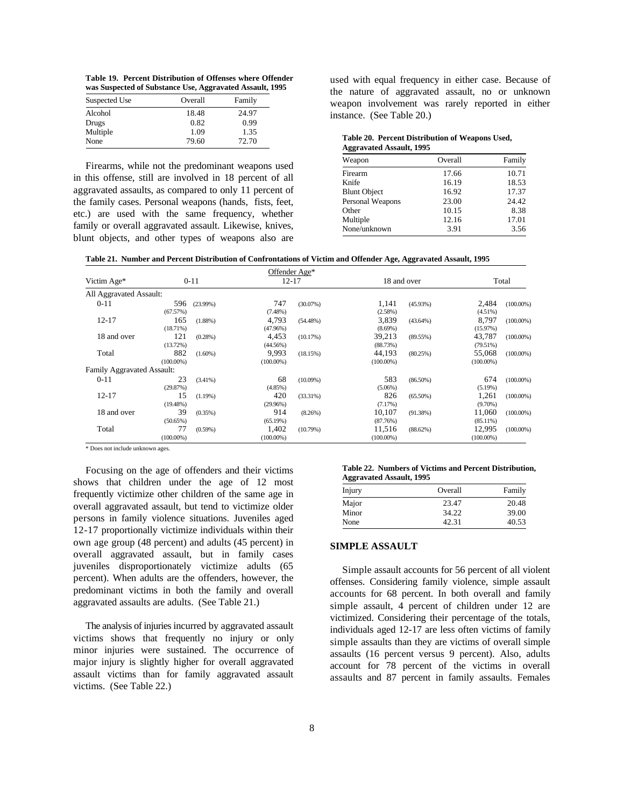**Table 19. Percent Distribution of Offenses where Offender was Suspected of Substance Use, Aggravated Assault, 1995**

| Suspected Use | Overall | Family |
|---------------|---------|--------|
| Alcohol       | 18.48   | 24.97  |
| Drugs         | 0.82    | 0.99   |
| Multiple      | 1.09    | 1.35   |
| None          | 79.60   | 72.70  |

Firearms, while not the predominant weapons used in this offense, still are involved in 18 percent of all aggravated assaults, as compared to only 11 percent of the family cases. Personal weapons (hands, fists, feet, etc.) are used with the same frequency, whether family or overall aggravated assault. Likewise, knives, blunt objects, and other types of weapons also are weapon involvement was rarely reported in either used with equal frequency in either case. Because of the nature of aggravated assault, no or unknown instance. (See Table 20.)

#### **Table 20. Percent Distribution of Weapons Used, Aggravated Assault, 1995**

| Weapon              | Overall | Family |
|---------------------|---------|--------|
| Firearm             | 17.66   | 10.71  |
| Knife               | 16.19   | 18.53  |
| <b>Blunt Object</b> | 16.92   | 17.37  |
| Personal Weapons    | 23.00   | 24.42  |
| Other               | 10.15   | 8.38   |
| Multiple            | 12.16   | 17.01  |
| None/unknown        | 3.91    | 3.56   |

| Table 21. Number and Percent Distribution of Confrontations of Victim and Offender Age, Aggravated Assault, 1995 |  |  |  |
|------------------------------------------------------------------------------------------------------------------|--|--|--|
|                                                                                                                  |  |  |  |

|                            |              |            |              | Offender Age* |              |             |              |              |
|----------------------------|--------------|------------|--------------|---------------|--------------|-------------|--------------|--------------|
| Victim Age*                |              | $0 - 11$   |              | $12 - 17$     |              | 18 and over |              | Total        |
| All Aggravated Assault:    |              |            |              |               |              |             |              |              |
| $0 - 11$                   | 596          | (23.99%)   | 747          | $(30.07\%)$   | 1,141        | $(45.93\%)$ | 2,484        | $(100.00\%)$ |
|                            | (67.57%)     |            | (7.48%)      |               | (2.58%)      |             | $(4.51\%)$   |              |
| $12 - 17$                  | 165          | $(1.88\%)$ | 4,793        | (54.48%)      | 3,839        | $(43.64\%)$ | 8,797        | $(100.00\%)$ |
|                            | (18.71%)     |            | (47.96%)     |               | $(8.69\%)$   |             | (15.97%)     |              |
| 18 and over                | 121          | (0.28%)    | 4,453        | (10.17%)      | 39,213       | (89.55%)    | 43,787       | $(100.00\%)$ |
|                            | (13.72%)     |            | (44.56%)     |               | (88.73%)     |             | (79.51%)     |              |
| Total                      | 882          | $(1.60\%)$ | 9.993        | (18.15%)      | 44.193       | (80.25%)    | 55,068       | $(100.00\%)$ |
|                            | $(100.00\%)$ |            | $(100.00\%)$ |               | $(100.00\%)$ |             | $(100.00\%)$ |              |
| Family Aggravated Assault: |              |            |              |               |              |             |              |              |
| $0 - 11$                   | 23           | $(3.41\%)$ | 68           | $(10.09\%)$   | 583          | $(86.50\%)$ | 674          | $(100.00\%)$ |
|                            | (29.87%)     |            | (4.85%)      |               | $(5.06\%)$   |             | (5.19%)      |              |
| $12 - 17$                  | 15           | (1.19%)    | 420          | (33.31%)      | 826          | $(65.50\%)$ | 1,261        | $(100.00\%)$ |
|                            | (19.48%)     |            | (29.96%)     |               | (7.17%)      |             | $(9.70\%)$   |              |
| 18 and over                | 39           | (0.35%)    | 914          | (8.26%)       | 10,107       | (91.38%)    | 11,060       | $(100.00\%)$ |
|                            | (50.65%)     |            | (65.19%)     |               | (87.76%)     |             | $(85.11\%)$  |              |
| Total                      | 77           | $(0.59\%)$ | 1,402        | (10.79%)      | 11,516       | (88.62%)    | 12,995       | $(100.00\%)$ |
|                            | $(100.00\%)$ |            | $(100.00\%)$ |               | $(100.00\%)$ |             | $(100.00\%)$ |              |

\* Does not include unknown ages.

Focusing on the age of offenders and their victims shows that children under the age of 12 most frequently victimize other children of the same age in overall aggravated assault, but tend to victimize older persons in family violence situations. Juveniles aged 12-17 proportionally victimize individuals within their own age group (48 percent) and adults (45 percent) in overall aggravated assault, but in family cases juveniles disproportionately victimize adults (65 percent). When adults are the offenders, however, the predominant victims in both the family and overall aggravated assaults are adults. (See Table 21.)

The analysis of injuries incurred by aggravated assault victims shows that frequently no injury or only minor injuries were sustained. The occurrence of major injury is slightly higher for overall aggravated assault victims than for family aggravated assault victims. (See Table 22.)

#### **Table 22. Numbers of Victims and Percent Distribution, Aggravated Assault, 1995**

| Injury | Overall | Family |
|--------|---------|--------|
| Major  | 23.47   | 20.48  |
| Minor  | 34.22   | 39.00  |
| None   | 42.31   | 40.53  |

#### **SIMPLE ASSAULT**

Simple assault accounts for 56 percent of all violent offenses. Considering family violence, simple assault accounts for 68 percent. In both overall and family simple assault, 4 percent of children under 12 are victimized. Considering their percentage of the totals, individuals aged 12-17 are less often victims of family simple assaults than they are victims of overall simple assaults (16 percent versus 9 percent). Also, adults account for 78 percent of the victims in overall assaults and 87 percent in family assaults. Females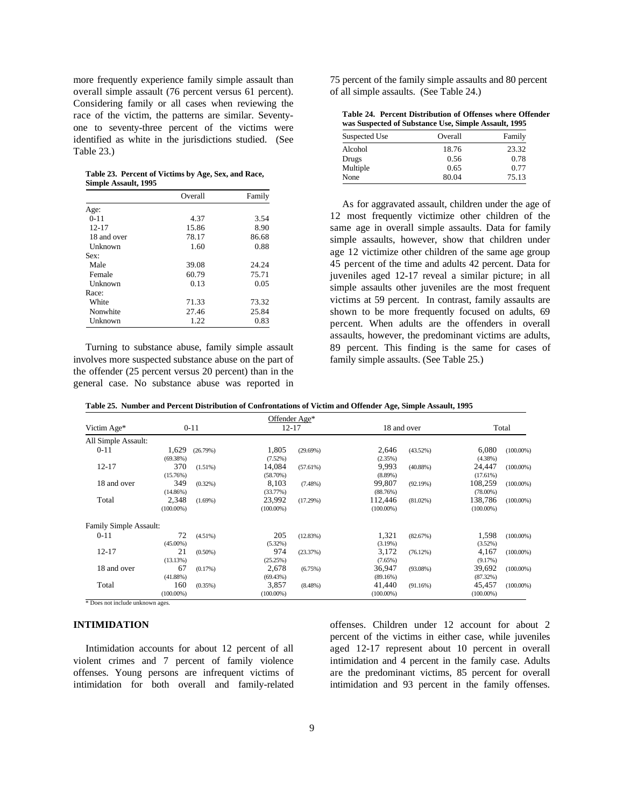overall simple assault (76 percent versus 61 percent). of all simple assaults. (See Table 24.) Considering family or all cases when reviewing the race of the victim, the patterns are similar. Seventyone to seventy-three percent of the victims were identified as white in the jurisdictions studied. (See Table 23.)

**Table 23. Percent of Victims by Age, Sex, and Race, Simple Assault, 1995**

|             | Overall | Family |  |
|-------------|---------|--------|--|
| Age:        |         |        |  |
| $0 - 11$    | 4.37    | 3.54   |  |
| $12 - 17$   | 15.86   | 8.90   |  |
| 18 and over | 78.17   | 86.68  |  |
| Unknown     | 1.60    | 0.88   |  |
| Sex:        |         |        |  |
| Male        | 39.08   | 24.24  |  |
| Female      | 60.79   | 75.71  |  |
| Unknown     | 0.13    | 0.05   |  |
| Race:       |         |        |  |
| White       | 71.33   | 73.32  |  |
| Nonwhite    | 27.46   | 25.84  |  |
| Unknown     | 1.22    | 0.83   |  |

Turning to substance abuse, family simple assault involves more suspected substance abuse on the part of the offender (25 percent versus 20 percent) than in the general case. No substance abuse was reported in

more frequently experience family simple assault than 75 percent of the family simple assaults and 80 percent

**Table 24. Percent Distribution of Offenses where Offender was Suspected of Substance Use, Simple Assault, 1995**

| Suspected Use | Overall | Family |
|---------------|---------|--------|
| Alcohol       | 18.76   | 23.32  |
| Drugs         | 0.56    | 0.78   |
| Multiple      | 0.65    | 0.77   |
| None          | 80.04   | 75.13  |

As for aggravated assault, children under the age of 12 most frequently victimize other children of the same age in overall simple assaults. Data for family simple assaults, however, show that children under age 12 victimize other children of the same age group 45 percent of the time and adults 42 percent. Data for juveniles aged 12-17 reveal a similar picture; in all simple assaults other juveniles are the most frequent victims at 59 percent. In contrast, family assaults are shown to be more frequently focused on adults, 69 percent. When adults are the offenders in overall assaults, however, the predominant victims are adults, 89 percent. This finding is the same for cases of family simple assaults. (See Table 25.)

**Table 25. Number and Percent Distribution of Confrontations of Victim and Offender Age, Simple Assault, 1995**

|                        |                     |            |                       | Offender Age* |                        |             |                        |              |
|------------------------|---------------------|------------|-----------------------|---------------|------------------------|-------------|------------------------|--------------|
| Victim Age*            |                     | $0 - 11$   | $12 - 17$             |               |                        | 18 and over |                        | Total        |
| All Simple Assault:    |                     |            |                       |               |                        |             |                        |              |
| $0 - 11$               | 1,629               | (26.79%)   | 1,805                 | (29.69%)      | 2,646                  | $(43.52\%)$ | 6,080                  | $(100.00\%)$ |
|                        | (69.38%)            |            | (7.52%)               |               | (2.35%)                |             | $(4.38\%)$             |              |
| $12 - 17$              | 370                 | (1.51%)    | 14,084                | (57.61%)      | 9,993                  | $(40.88\%)$ | 24,447                 | $(100.00\%)$ |
|                        | (15.76%)            |            | (58.70%)              |               | $(8.89\%)$             |             | (17.61%)               |              |
| 18 and over            | 349                 | $(0.32\%)$ | 8,103                 | $(7.48\%)$    | 99,807                 | (92.19%)    | 108,259                | $(100.00\%)$ |
|                        | (14.86%)            |            | (33.77%)              |               | (88.76%)               |             | $(78.00\%)$            |              |
| Total                  | 2,348               | $(1.69\%)$ | 23,992                | (17.29%)      | 112,446                | $(81.02\%)$ | 138,786                | $(100.00\%)$ |
|                        | $(100.00\%)$        |            | $(100.00\%)$          |               | $(100.00\%)$           |             | $(100.00\%)$           |              |
| Family Simple Assault: |                     |            |                       |               |                        |             |                        |              |
| $0 - 11$               | 72                  | (4.51%)    | 205                   | (12.83%)      | 1,321                  | (82.67%)    | 1,598                  | $(100.00\%)$ |
|                        | $(45.00\%)$         |            | $(5.32\%)$            |               | (3.19%)                |             | (3.52%)                |              |
| $12 - 17$              | 21                  | $(0.50\%)$ | 974                   | (23.37%)      | 3,172                  | (76.12%)    | 4,167                  | $(100.00\%)$ |
|                        | (13.13%)            |            | (25.25%)              |               | (7.65%)                |             | (9.17%)                |              |
| 18 and over            | 67                  | (0.17%)    | 2,678                 | (6.75%)       | 36,947                 | $(93.08\%)$ | 39,692                 | $(100.00\%)$ |
|                        | (41.88%)            |            | (69.43%)              |               | (89.16%)               |             | (87.32%)               |              |
| Total                  | 160<br>$(100.00\%)$ | $(0.35\%)$ | 3,857<br>$(100.00\%)$ | $(8.48\%)$    | 41,440<br>$(100.00\%)$ | (91.16%)    | 45,457<br>$(100.00\%)$ | $(100.00\%)$ |

\* Does not include unknown ages.

## **INTIMIDATION**

violent crimes and 7 percent of family violence intimidation and 4 percent in the family case. Adults offenses. Young persons are infrequent victims of are the predominant victims, 85 percent for overall intimidation for both overall and family-related intimidation and 93 percent in the family offenses.

Intimidation accounts for about 12 percent of all aged 12-17 represent about 10 percent in overall offenses. Children under 12 account for about 2 percent of the victims in either case, while juveniles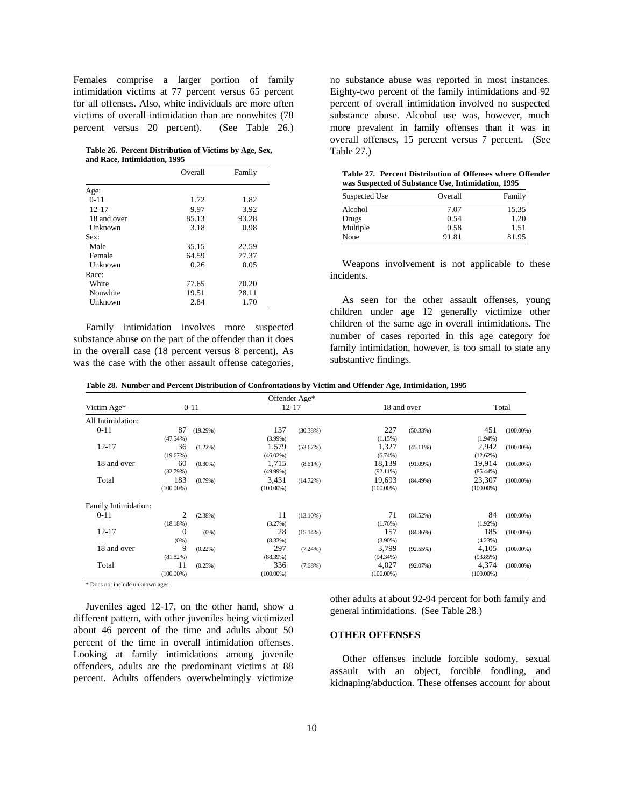Females comprise a larger portion of family no substance abuse was reported in most instances. intimidation victims at 77 percent versus 65 percent Eighty-two percent of the family intimidations and 92 for all offenses. Also, white individuals are more often percent of overall intimidation involved no suspected victims of overall intimidation than are nonwhites (78 substance abuse. Alcohol use was, however, much percent versus 20 percent). (See Table 26.) more prevalent in family offenses than it was in

**Table 26. Percent Distribution of Victims by Age, Sex, and Race, Intimidation, 1995**

|             | Overall | Family |
|-------------|---------|--------|
| Age:        |         |        |
| $0 - 11$    | 1.72    | 1.82   |
| $12 - 17$   | 9.97    | 3.92   |
| 18 and over | 85.13   | 93.28  |
| Unknown     | 3.18    | 0.98   |
| Sex:        |         |        |
| Male        | 35.15   | 22.59  |
| Female      | 64.59   | 77.37  |
| Unknown     | 0.26    | 0.05   |
| Race:       |         |        |
| White       | 77.65   | 70.20  |
| Nonwhite    | 19.51   | 28.11  |
| Unknown     | 2.84    | 1.70   |

Family intimidation involves more suspected substance abuse on the part of the offender than it does in the overall case (18 percent versus 8 percent). As was the case with the other assault offense categories,

overall offenses, 15 percent versus 7 percent. (See Table 27.)

**Table 27. Percent Distribution of Offenses where Offender was Suspected of Substance Use, Intimidation, 1995**

| Suspected Use | Overall | Family |
|---------------|---------|--------|
| Alcohol       | 7.07    | 15.35  |
| Drugs         | 0.54    | 1.20   |
| Multiple      | 0.58    | 1.51   |
| None          | 91.81   | 81.95  |

Weapons involvement is not applicable to these incidents.

As seen for the other assault offenses, young children under age 12 generally victimize other children of the same age in overall intimidations. The number of cases reported in this age category for family intimidation, however, is too small to state any substantive findings.

**Table 28. Number and Percent Distribution of Confrontations by Victim and Offender Age, Intimidation, 1995**

|                      |                     |            |                       | Offender Age* |                        |             |                        |              |
|----------------------|---------------------|------------|-----------------------|---------------|------------------------|-------------|------------------------|--------------|
| Victim Age*          |                     | $0 - 11$   |                       | $12 - 17$     |                        | 18 and over |                        | Total        |
| All Intimidation:    |                     |            |                       |               |                        |             |                        |              |
| $0 - 11$             | 87                  | (19.29%)   | 137                   | (30.38%)      | 227                    | (50.33%)    | 451                    | $(100.00\%)$ |
| $12 - 17$            | (47.54%)<br>36      | $(1.22\%)$ | $(3.99\%)$<br>1,579   | (53.67%)      | (1.15%)<br>1,327       | $(45.11\%)$ | $(1.94\%)$<br>2,942    | $(100.00\%)$ |
|                      | (19.67%)            |            | $(46.02\%)$           |               | $(6.74\%)$             |             | (12.62%)               |              |
| 18 and over          | 60<br>(32.79%)      | $(0.30\%)$ | 1,715<br>$(49.99\%)$  | (8.61%)       | 18,139<br>$(92.11\%)$  | (91.09%)    | 19,914<br>$(85.44\%)$  | $(100.00\%)$ |
| Total                | 183<br>$(100.00\%)$ | $(0.79\%)$ | 3,431<br>$(100.00\%)$ | $(14.72\%)$   | 19,693<br>$(100.00\%)$ | $(84.49\%)$ | 23,307<br>$(100.00\%)$ | $(100.00\%)$ |
| Family Intimidation: |                     |            |                       |               |                        |             |                        |              |
| $0 - 11$             | 2<br>(18.18%)       | (2.38%)    | 11<br>(3.27%)         | $(13.10\%)$   | 71<br>(1.76%)          | (84.52%)    | 84<br>$(1.92\%)$       | $(100.00\%)$ |
| $12 - 17$            | $\theta$<br>(0%)    | $(0\%)$    | 28<br>(8.33%)         | $(15.14\%)$   | 157<br>$(3.90\%)$      | $(84.86\%)$ | 185<br>(4.23%)         | $(100.00\%)$ |
| 18 and over          | 9                   | $(0.22\%)$ | 297                   | $(7.24\%)$    | 3,799                  | (92.55%)    | 4,105                  | $(100.00\%)$ |
| Total                | (81.82%)<br>11      | (0.25%)    | (88.39%)<br>336       | $(7.68\%)$    | $(94.34\%)$<br>4,027   | (92.07%)    | (93.85%)<br>4,374      | $(100.00\%)$ |
|                      | $(100.00\%)$        |            | $(100.00\%)$          |               | $(100.00\%)$           |             | $(100.00\%)$           |              |

\* Does not include unknown ages.

Juveniles aged 12-17, on the other hand, show a different pattern, with other juveniles being victimized about 46 percent of the time and adults about 50 percent of the time in overall intimidation offenses. Looking at family intimidations among juvenile offenders, adults are the predominant victims at 88 percent. Adults offenders overwhelmingly victimize other adults at about 92-94 percent for both family and general intimidations. (See Table 28.)

#### **OTHER OFFENSES**

Other offenses include forcible sodomy, sexual assault with an object, forcible fondling, and kidnaping/abduction. These offenses account for about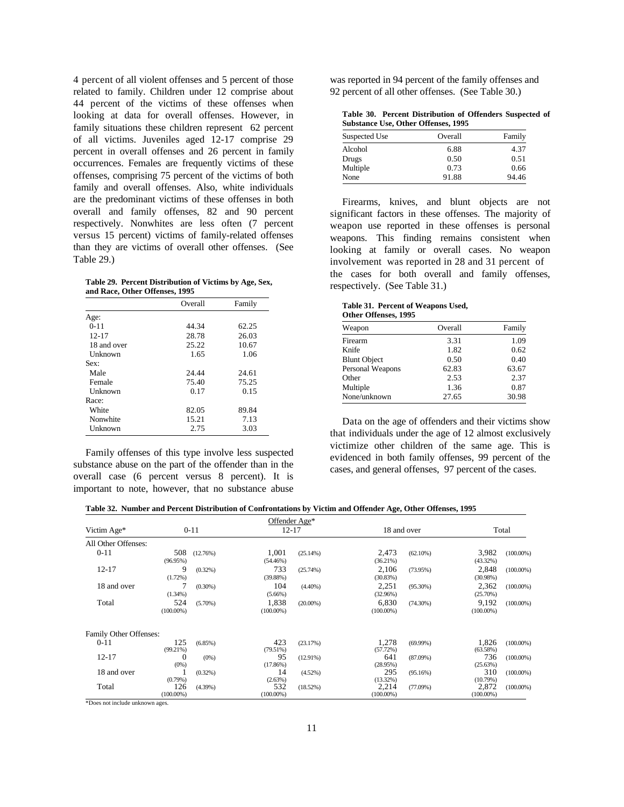4 percent of all violent offenses and 5 percent of those was reported in 94 percent of the family offenses and related to family. Children under 12 comprise about 92 percent of all other offenses. (See Table 30.) 44 percent of the victims of these offenses when looking at data for overall offenses. However, in family situations these children represent 62 percent of all victims. Juveniles aged 12-17 comprise 29 percent in overall offenses and 26 percent in family occurrences. Females are frequently victims of these offenses, comprising 75 percent of the victims of both family and overall offenses. Also, white individuals are the predominant victims of these offenses in both overall and family offenses, 82 and 90 percent respectively. Nonwhites are less often (7 percent versus 15 percent) victims of family-related offenses than they are victims of overall other offenses. (See Table 29.)

**Table 29. Percent Distribution of Victims by Age, Sex, and Race, Other Offenses, 1995**

|             | Overall | Family |
|-------------|---------|--------|
| Age:        |         |        |
| $0 - 11$    | 44.34   | 62.25  |
| $12 - 17$   | 28.78   | 26.03  |
| 18 and over | 25.22   | 10.67  |
| Unknown     | 1.65    | 1.06   |
| Sex:        |         |        |
| Male        | 24.44   | 24.61  |
| Female      | 75.40   | 75.25  |
| Unknown     | 0.17    | 0.15   |
| Race:       |         |        |
| White       | 82.05   | 89.84  |
| Nonwhite    | 15.21   | 7.13   |
| Unknown     | 2.75    | 3.03   |

Family offenses of this type involve less suspected substance abuse on the part of the offender than in the overall case (6 percent versus 8 percent). It is important to note, however, that no substance abuse

| Table 30. Percent Distribution of Offenders Suspected of |  |
|----------------------------------------------------------|--|
| <b>Substance Use, Other Offenses, 1995</b>               |  |

| Suspected Use | Overall | Family |
|---------------|---------|--------|
| Alcohol       | 6.88    | 4.37   |
| Drugs         | 0.50    | 0.51   |
| Multiple      | 0.73    | 0.66   |
| None          | 91.88   | 94.46  |

Firearms, knives, and blunt objects are not significant factors in these offenses. The majority of weapon use reported in these offenses is personal weapons. This finding remains consistent when looking at family or overall cases. No weapon involvement was reported in 28 and 31 percent of the cases for both overall and family offenses, respectively. (See Table 31.)

| Table 31. Percent of Weapons Used, |  |
|------------------------------------|--|
| Other Offenses, 1995               |  |

| Weapon              | Overall | Family |
|---------------------|---------|--------|
| Firearm             | 3.31    | 1.09   |
| Knife               | 1.82    | 0.62   |
| <b>Blunt Object</b> | 0.50    | 0.40   |
| Personal Weapons    | 62.83   | 63.67  |
| Other               | 2.53    | 2.37   |
| Multiple            | 1.36    | 0.87   |
| None/unknown        | 27.65   | 30.98  |

Data on the age of offenders and their victims show that individuals under the age of 12 almost exclusively victimize other children of the same age. This is evidenced in both family offenses, 99 percent of the cases, and general offenses, 97 percent of the cases.

| Table 32. Number and Percent Distribution of Confrontations by Victim and Offender Age, Other Offenses, 1995 |  |  |  |
|--------------------------------------------------------------------------------------------------------------|--|--|--|
|                                                                                                              |  |  |  |

|                                                    |              |            |              | Offender Age* |              |             |              |              |
|----------------------------------------------------|--------------|------------|--------------|---------------|--------------|-------------|--------------|--------------|
| Victim Age*                                        |              | $0 - 11$   |              | $12 - 17$     |              | 18 and over |              | Total        |
| All Other Offenses:                                |              |            |              |               |              |             |              |              |
| $0 - 11$                                           | 508          | (12.76%)   | 1,001        | (25.14%)      | 2,473        | $(62.10\%)$ | 3,982        | $(100.00\%)$ |
|                                                    | (96.95%)     |            | $(54.46\%)$  |               | (36.21%)     |             | (43.32%)     |              |
| $12 - 17$                                          | 9            | $(0.32\%)$ | 733          | (25.74%)      | 2,106        | (73.95%)    | 2,848        | $(100.00\%)$ |
|                                                    | (1.72%)      |            | (39.88%)     |               | (30.83%)     |             | (30.98%)     |              |
| 18 and over                                        |              | $(0.30\%)$ | 104          | $(4.40\%)$    | 2,251        | $(95.30\%)$ | 2,362        | $(100.00\%)$ |
|                                                    | $(1.34\%)$   |            | $(5.66\%)$   |               | (32.96%)     |             | (25.70%)     |              |
| Total                                              | 524          | $(5.70\%)$ | 1,838        | $(20.00\%)$   | 6,830        | $(74.30\%)$ | 9,192        | $(100.00\%)$ |
|                                                    | $(100.00\%)$ |            | $(100.00\%)$ |               | $(100.00\%)$ |             | $(100.00\%)$ |              |
| Family Other Offenses:                             |              |            |              |               |              |             |              |              |
| $0 - 11$                                           | 125          | (6.85%)    | 423          | (23.17%)      | 1,278        | $(69.99\%)$ | 1,826        | $(100.00\%)$ |
|                                                    | (99.21%)     |            | (79.51%)     |               | (57.72%)     |             | (63.58%)     |              |
| $12 - 17$                                          | $\Omega$     | $(0\%)$    | 95           | $(12.91\%)$   | 641          | (87.09%)    | 736          | $(100.00\%)$ |
|                                                    | (0%)         |            | (17.86%)     |               | (28.95%)     |             | (25.63%)     |              |
| 18 and over                                        |              | $(0.32\%)$ | 14           | $(4.52\%)$    | 295          | (95.16%)    | 310          | $(100.00\%)$ |
|                                                    | (0.79%       |            | (2.63%)      |               | (13.32%)     |             | (10.79%)     |              |
| Total                                              | 126          | (4.39%)    | 532          | (18.52%)      | 2,214        | $(77.09\%)$ | 2,872        | $(100.00\%)$ |
| <b><i>ED</i></b> and <i>include malmoran agent</i> | $(100.00\%)$ |            | $(100.00\%)$ |               | $(100.00\%)$ |             | $(100.00\%)$ |              |

\*Does not include unknown ages.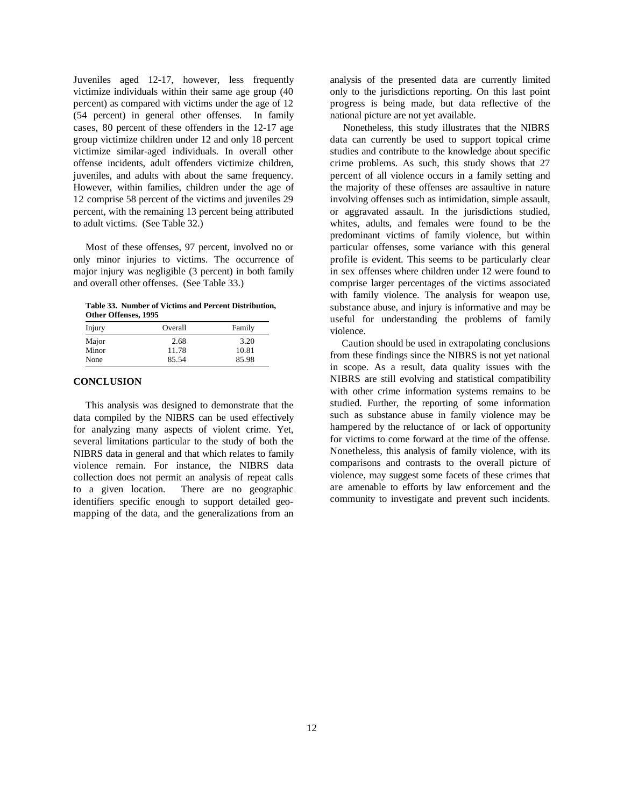victimize individuals within their same age group (40 only to the jurisdictions reporting. On this last point percent) as compared with victims under the age of 12 progress is being made, but data reflective of the (54 percent) in general other offenses. In family national picture are not yet available. cases, 80 percent of these offenders in the 12-17 age Nonetheless, this study illustrates that the NIBRS group victimize children under 12 and only 18 percent data can currently be used to support topical crime victimize similar-aged individuals. In overall other studies and contribute to the knowledge about specific offense incidents, adult offenders victimize children, crime problems. As such, this study shows that 27 juveniles, and adults with about the same frequency. percent of all violence occurs in a family setting and However, within families, children under the age of the majority of these offenses are assaultive in nature 12 comprise 58 percent of the victims and juveniles 29 involving offenses such as intimidation, simple assault, percent, with the remaining 13 percent being attributed or aggravated assault. In the jurisdictions studied, to adult victims. (See Table 32.) whites, adults, and females were found to be the

only minor injuries to victims. The occurrence of profile is evident. This seems to be particularly clear major injury was negligible (3 percent) in both family in sex offenses where children under 12 were found to and overall other offenses. (See Table 33.) comprise larger percentages of the victims associated

**Table 33. Number of Victims and Percent Distribution, Other Offenses, 1995**

| Injury                 | Overall                | Family                 | $uvv101 - 10$<br>violence.                                                              |
|------------------------|------------------------|------------------------|-----------------------------------------------------------------------------------------|
| Major<br>Minor<br>None | 2.68<br>11.78<br>85.54 | 3.20<br>10.81<br>85.98 | Cautic<br>from thes                                                                     |
|                        |                        |                        | the second control of the second control of the second control of the second control of |

#### **CONCLUSION**

This analysis was designed to demonstrate that the data compiled by the NIBRS can be used effectively for analyzing many aspects of violent crime. Yet, several limitations particular to the study of both the NIBRS data in general and that which relates to family violence remain. For instance, the NIBRS data collection does not permit an analysis of repeat calls to a given location. There are no geographic identifiers specific enough to support detailed geomapping of the data, and the generalizations from an

Juveniles aged 12-17, however, less frequently analysis of the presented data are currently limited

Most of these offenses, 97 percent, involved no or particular offenses, some variance with this general predominant victims of family violence, but within with family violence. The analysis for weapon use, substance abuse, and injury is informative and may be useful for understanding the problems of family

> Caution should be used in extrapolating conclusions from these findings since the NIBRS is not yet national in scope. As a result, data quality issues with the NIBRS are still evolving and statistical compatibility with other crime information systems remains to be studied. Further, the reporting of some information such as substance abuse in family violence may be hampered by the reluctance of or lack of opportunity for victims to come forward at the time of the offense. Nonetheless, this analysis of family violence, with its comparisons and contrasts to the overall picture of violence, may suggest some facets of these crimes that are amenable to efforts by law enforcement and the community to investigate and prevent such incidents.